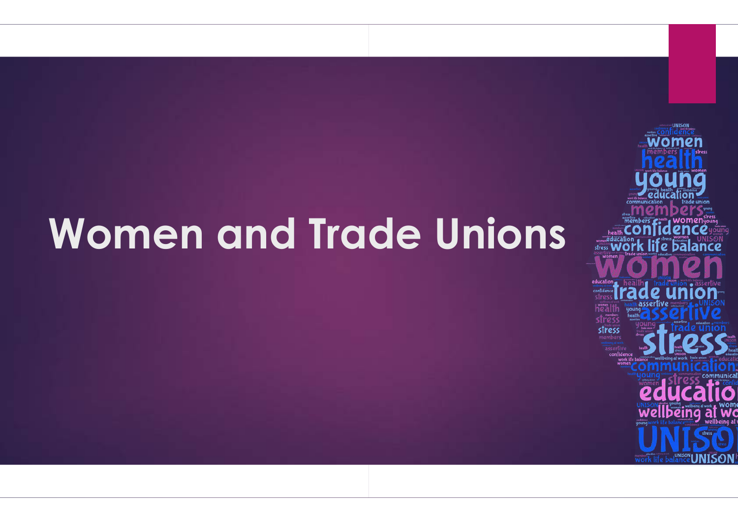### Women and Trade Unions

asserti

stress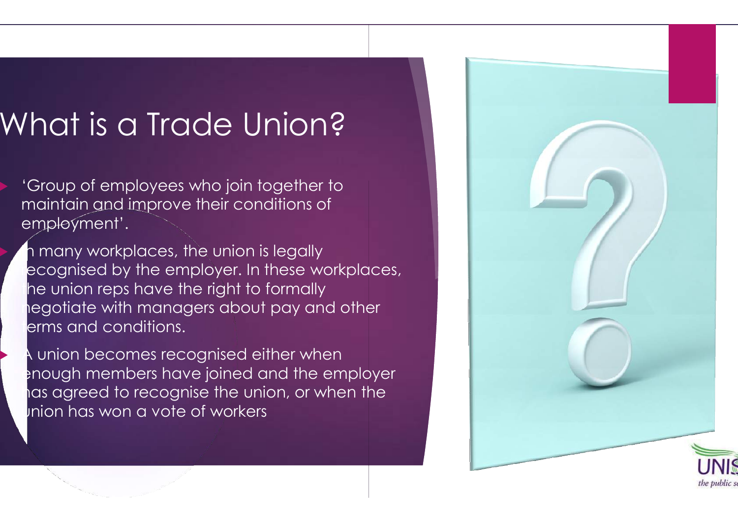### What is a Trade Union?

 'Group of employees who join together to maintain and improve their conditions of employment'.

h many workplaces, the union is legally ecognised by the employer. In these workplaces, he union reps have the right to formally negotiate with managers about pay and other erms and conditions. ecognised by the employer. In these workplaces,<br>he union reps have the right to formally<br>regotiate with managers about pay and other<br>erms and conditions.<br>A union becomes recognised either when<br>anough members have joined an

 A union becomes recognised either when enough members have joined and the employer union has won a vote of workers

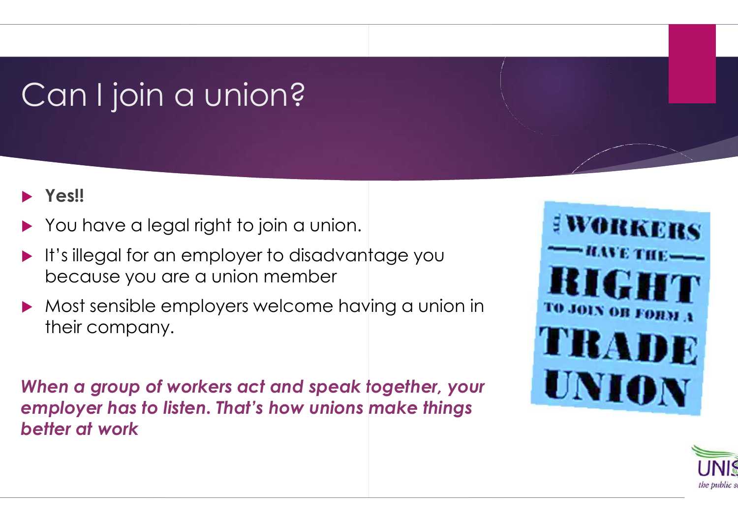### Can I join a union?

- Yes!!
- You have a legal right to join a union.
- **It's illegal for an employer to disadvantage you** because you are a union member ► It's illegal for an employer to disadvantage you<br>
because you are a union member<br>
► Most sensible employers welcome having a union in
- their company.

When a group of workers act and speak together, your of speak employer has to listen. That's how unions make things better at work



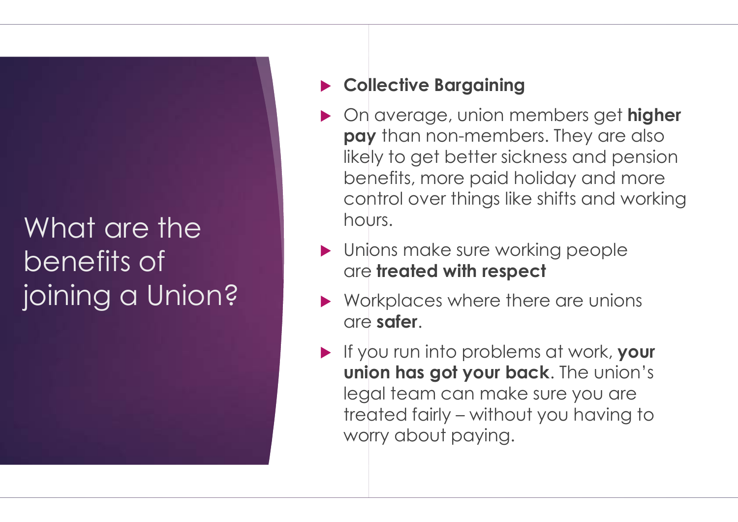### What are the benefits of joining a Union?

### ▶ Collective Bargaining

- ▶ On average, union members get **higher pay** than non-members. They are also likely to get better sickness and pension benefits, more paid holiday and more control over things like shifts and working hours.
- $\blacktriangleright$  Unions make sure working people are treated with respect
- are safer.  $\blacktriangleright$  Workplaces where there are unions
- $\blacktriangleright$  If you run into problems at work, your **union has got your back**. The union's legal team can make sure you are treated fairly – without you having to worry about paying. hings like shifts and working<br>sure working people<br>**ith respect**<br>where there are unions<br>problems at work, **your**<br>**your back**. The union's<br>an make sure you are<br>— without you having to<br>paying.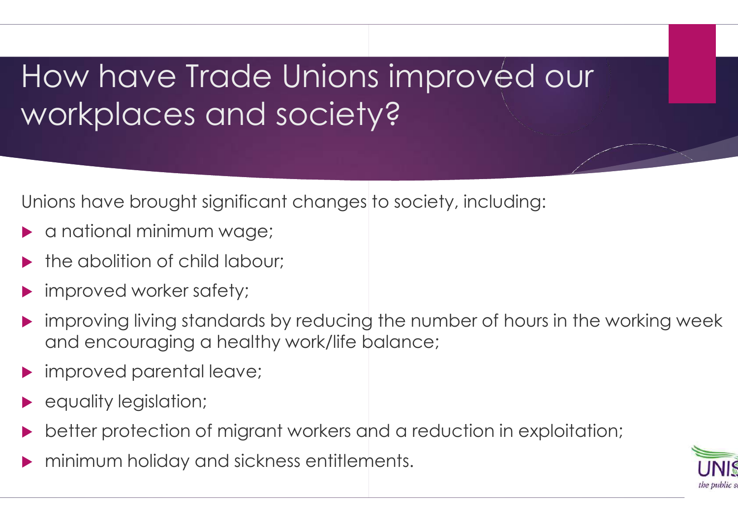# How have Trade Unions improved our workplaces and society? improved our<br>inces and society?<br>brought significant changes to society, including:<br>iminimum wage;<br>on of child labour;<br>worker safety;<br>living standards by reducing the number of hours in the working week<br>uraging a healthy wo

Unions have brought significant changes to society, including:

- a national minimum wage;
- the abolition of child labour;
- improved worker safety;
- improving living standards by reducing the number of hours in the working week and encouraging a healthy work/life balance;
- improved parental leave;
- equality legislation;
- better protection of migrant workers and a reduction in exploitation;
- minimum holiday and sickness entitlements.

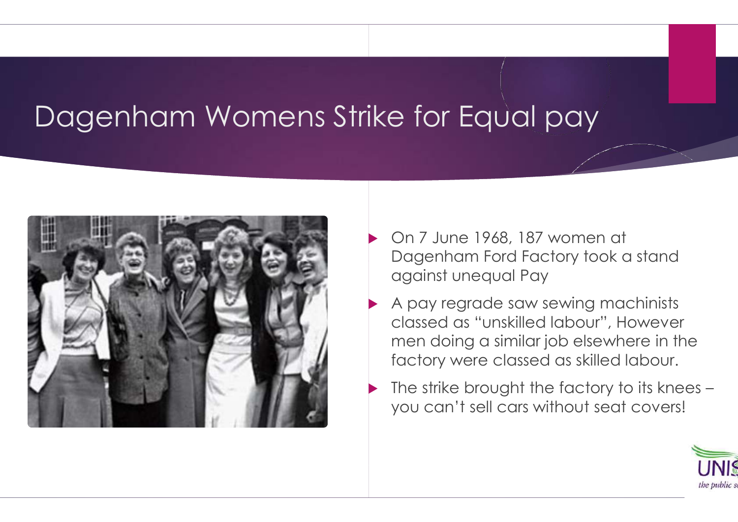### Dagenham Womens Strike for Equal pay



- On 7 June 1968, 187 women at Dagenham Ford Factory took a stand against unequal Pay
- A pay regrade saw sewing machinists classed as "unskilled labour", However men doing a similar job elsewhere in the factory were classed as skilled labour.
- $\blacktriangleright$  The strike brought the factory to its knees you can't sell cars without seat covers!

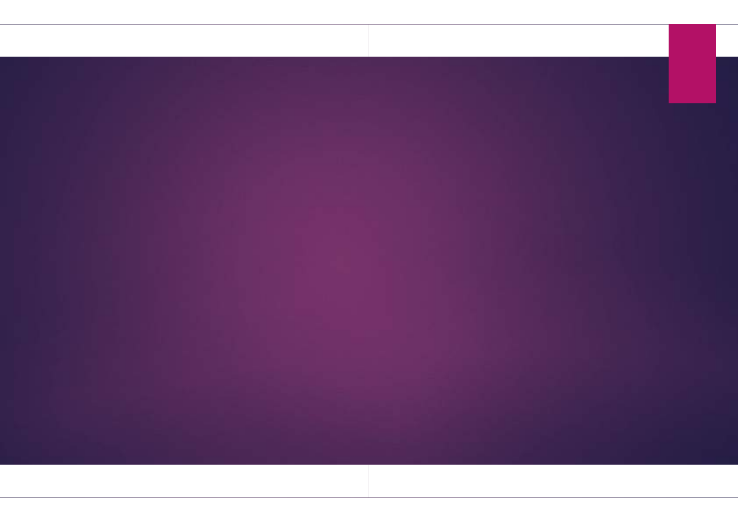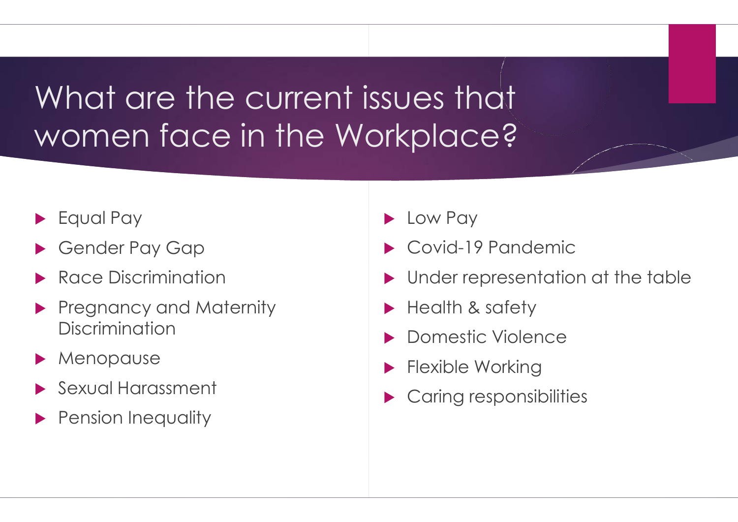What are the current issues that What are the current issues that **community and the Workplace?**<br>women face in the Workplace?

- ▶ Equal Pay
- Gender Pay Gap
- Race Discrimination
- Pregnancy and Maternity **Discrimination**
- **Menopause**
- Sexual Harassment
- Pension Inequality
- **Low Pay**
- Covid-19 Pandemic
- $\blacktriangleright$  Under representation at the table
- Health & safety
- **Domestic Violence**
- **Flexible Working**
- Caring responsibilities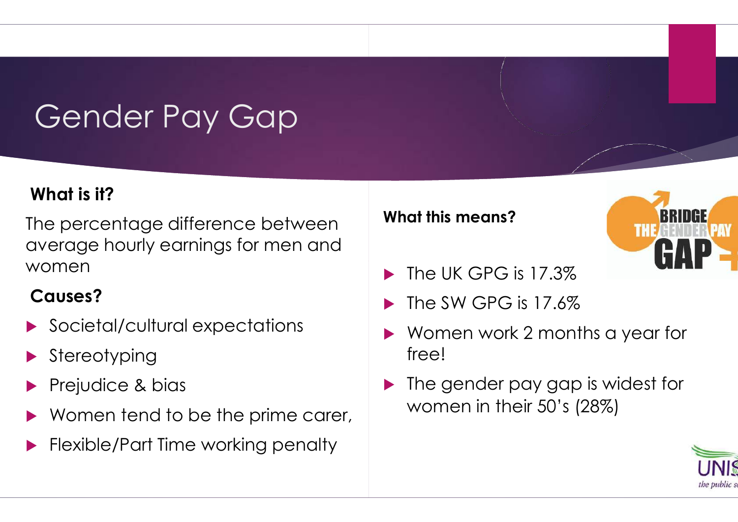### Gender Pay Gap

### What is it?

The percentage difference between Gender Pay Gap<br>
What is it?<br>
The percentage difference between<br>
average hourly earnings for men and<br>
women<br>
Causes? women

### Causes?

- 
- Stereotyping
- Prejudice & bias
- Women tend to be the prime carer, women in their 50's (28%)
- Flexible/Part Time working penalty

### What this means?



- The UK GPG is 17.3%
- The SW GPG is 17.6%
- Societal/cultural expectations by Women work 2 months a year for free!
	- The gender pay gap is widest for

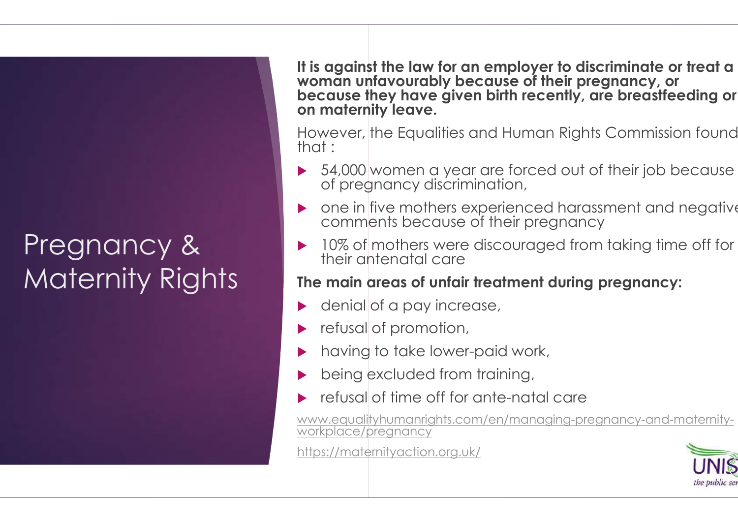### Pregnancy & Maternity Rights

It is against the law for an employer to discriminate or treat a<br>woman unfavourably because of their pregnancy, or<br>because they have given birth recently, are breastfeeding or<br>on maternity leave.

However, the Equalities and Human Rights Commission found that : wever, the Equalities and Human Rights Commission found<br>† :<br>54,000 women a year are forced out of their job because

- 54,000 women a year are forced out of their job because of pregnancy discrimination,
- one in five mothers experienced harassment and negative<br>comments because of their pregnancy
- 10% of mothers were discouraged from taking time off for their antenatal care

### The main areas of unfair treatment during preanancy:

- denial of a pay increase,
- refusal of promotion,
- ► denial of a pay increase,<br>► refusal of promotion,<br>► having to take lower-paid work,
- being excluded from training,
- being excluded from training,<br>• refusal of time off for ante-natal care

www.equalityhumanrights.com/en/managing www.equalityhumanrights.com/en/managing-pregnancy-and-maternityworkplace/pregnancy

https://maternityaction.org.uk/

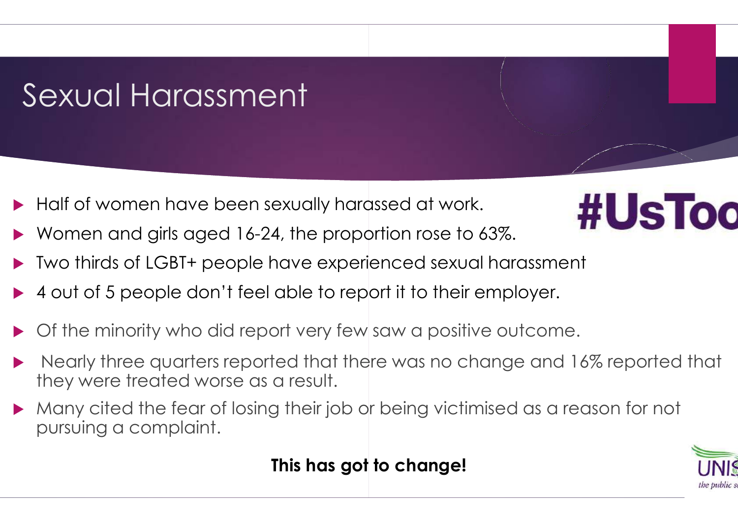### Sexual Harassment

- Half of women have been sexually harassed at work. Half of women have been sexually harassed at work.<br>Women and girls aged 16-24, the proportion rose to 63%.<br>Women and girls aged 16-24, the proportion rose to 63%.
- 

- Two thirds of LGBT+ people have experienced sexual harassment ive been sexually harassed at work.<br>29 aged 16-24, the proportion rose to 63%.<br>24 + people have experienced sexual harassment<br>20 don't feel able to report it to their employer.
- 4 out of 5 people don't feel able to report it to their employer.
- Of the minority who did report very few saw a positive outcome.
- Nearly three quarters reported that there was no change and 16% reported that they were treated worse as a result. ► Nearly three quarters reported that there was no change and 16% reported that<br>
they were treated worse as a result.<br>
► Many cited the fear of losing their job or being victimised as a reason for not
- pursuing a complaint.

This has got to change! This has got

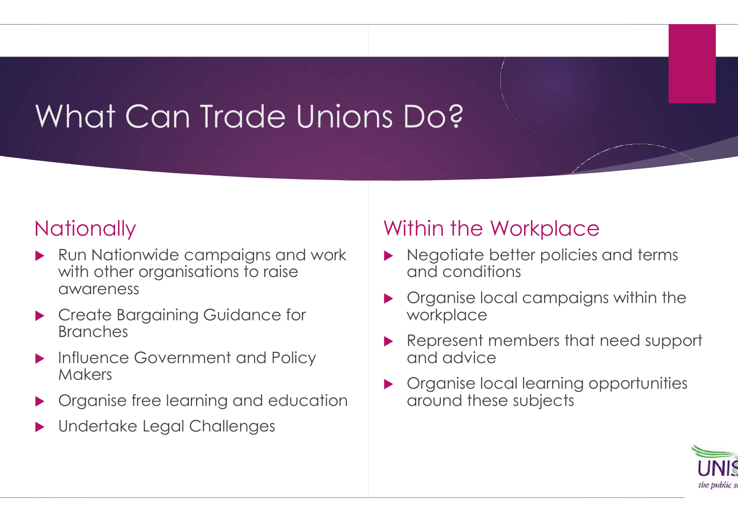## What Can Trade Unions Do? Can Within the Workplace

### **Nationally**

- ▶ Run Nationwide campaigns and work with other organisations to raise awareness
- Create Bargaining Guidance for Branches
- Influence Government and Policy **Makers**
- **Organise free learning and education**
- Undertake Legal Challenges

- lacktriangleright Negotiate better policies and terms and conditions
- **Organise local campaigns within the** workplace
- Represent members that need support and advice
- Organise local learning opportunities around these subjects

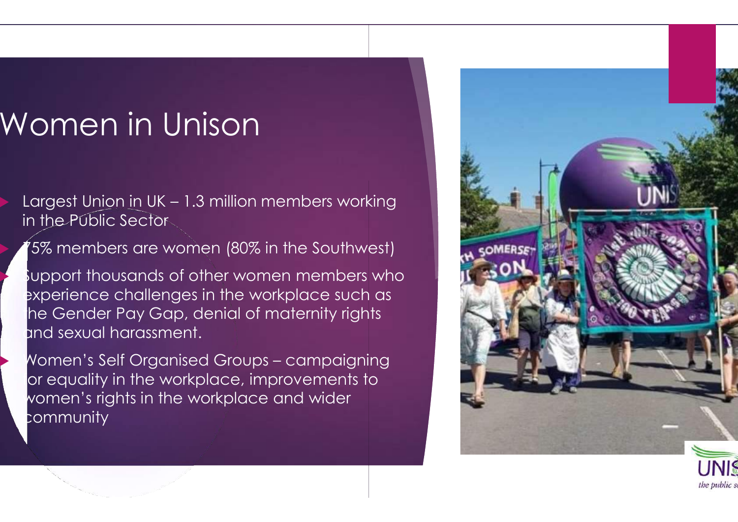### Women in Unison

 Largest Union in UK – 1.3 million members working in the Public Sector

75% members are women (80% in the Southwest)

 Support thousands of other women members who experience challenges in the workplace such as he Gender Pay Gap, denial of maternity rights and sexual harassment.

 Women's Self Organised Groups – campaigning or equality in the workplace, improvements to women's rights in the workplace and wider community



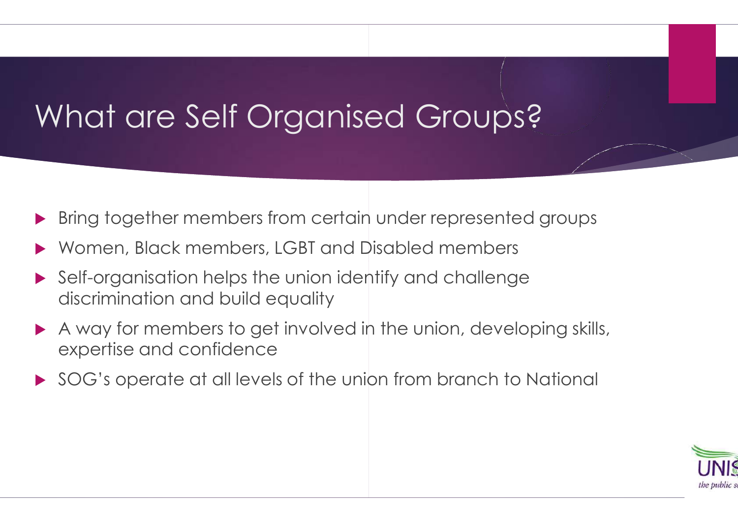### What are Self Organised Groups?

- Bring together members from certain under represented groups
- Women, Black members, LGBT and Disabled members
- Self-organisation helps the union identify and challenge discrimination and build equality **That are Self Organised Groups?**<br> **Bring together members from certain under represented groups**<br>
Women, Black members, LGBT and Disabled members<br>
Self-organisation helps the union identify and challenge<br>
discrimination a
- A way for members to get involved in the union, developing skills, expertise and confidence
- ▶ SOG's operate at all levels of the union from branch to National

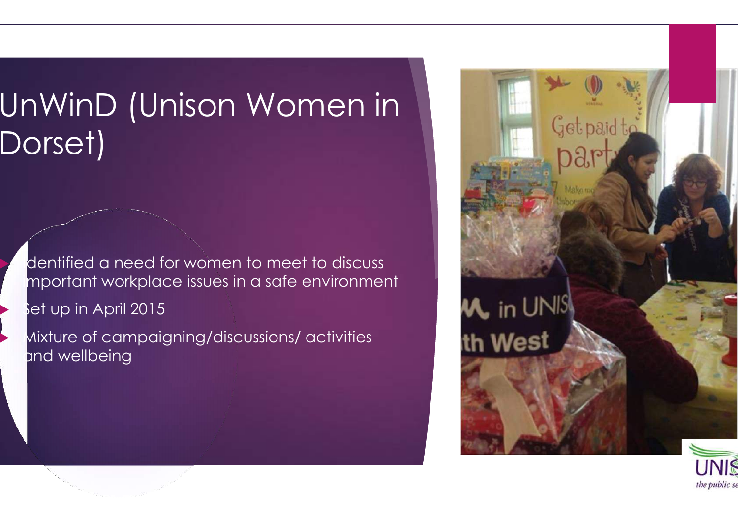### UnWinD (Unison Women in Dorset)

 Identified a need for women to meet to discuss important workplace issues in a safe environment Set up in April 2015

 Mixture of campaigning/discussions/ activities and wellbeing



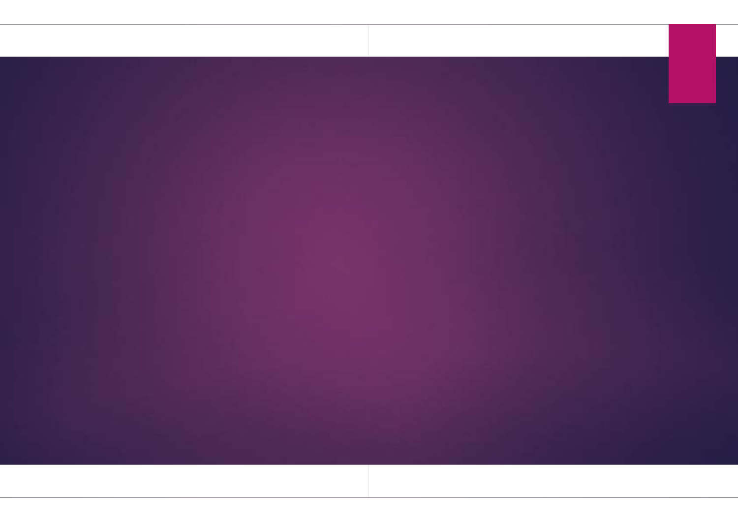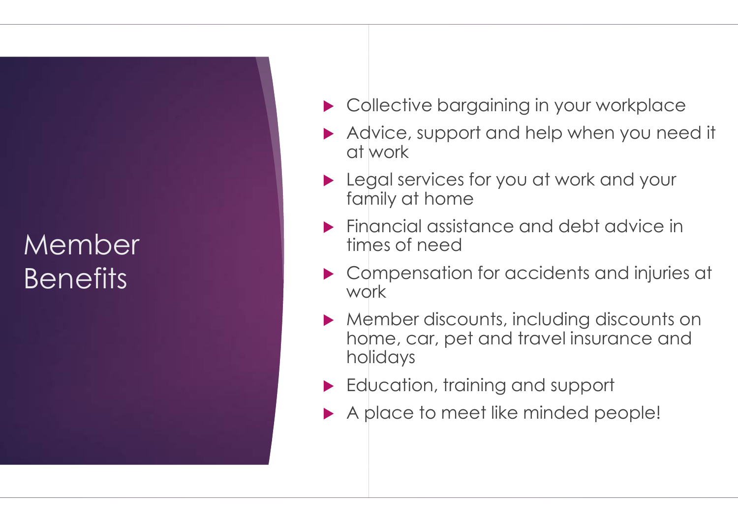- $\blacktriangleright$  Collective bargaining in your workplace
- → Collective bargaining in your workplace<br>
→ Advice, support and help when you need it<br>
at work<br>
→ Legal services for you at work and your<br>
family at home<br>
→ Financial assistance and debt advice in<br>
times of need at work work  $\blacktriangleright$  Advice, support and help when you need it
	- $\blacktriangleright$  Legal services for you at work and your family at home
	- **Financial assistance and debt advice in** times of need cial assistance and debt advice in<br>of need<br>pensation for accidents and injuries
- Benefits **Benefits Compensation for accidents and injuries at** work
	- Member discounts, including discounts on<br>home, car, pet and travel insurance and home, car, pet and travel insurance and holidays
	- $\blacktriangleright$  Education, training and support
	- $\blacktriangleright$  A place to meet like minded people!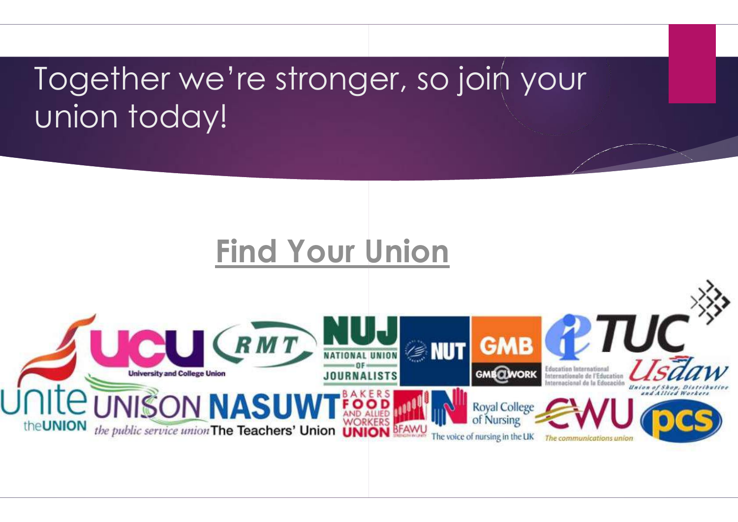### Together we're stronger, so join your union today!

### Find Your Union